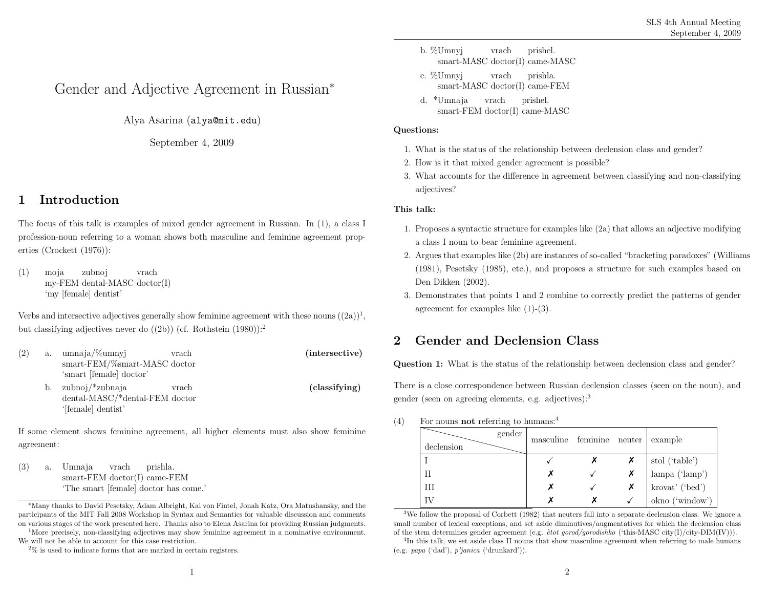# Gender and Adjective Agreement in Russian<sup>∗</sup>

Alya Asarina (alya@mit.edu)

September 4, <sup>2009</sup>

## <sup>1</sup> Introduction

The focus of this talk is examples of mixed gender agreement in Russian. In (1), <sup>a</sup> class <sup>I</sup>profession-noun referring to <sup>a</sup> woman shows both masculine and feminine agreement properties (Crockett (1976)):

(1) moja my-FEM dental-MASC doctor(I) 'my [female] dentist' zubnojvrach

Verbs and intersective adjectives generally show feminine agreement with these nouns  $((2a))^1$ , but classifying adjectives never do ((2b)) (cf. Rothstein (1980)):<sup>2</sup>

(2) a. umnaja/%umnyj smart-FEM/%smart-MASC doctorvrach(intersective)'smart [female] doctor' b. zubnoj/\*zubnaja dental-MASC/\*dental-FEM doctorvrach(classifying)'[female] dentist'

If some element shows feminine agreement, all higher elements must also show feminineagreement:

(3) a. Umnajasmart-FEM doctor(I) came-FEM 'The smart [female] doctor has come.' vrachprishla.

We will not be able to account for this case restriction.

- b. %Umnyj smart-MASC doctor(I) came-MASCvrachprishel.
- c. %Umnyj smart-MASC doctor(I) came-FEMvrachprishla.
- d. \*Umnaja smart-FEM doctor(I) came-MASCvrachprishel.

### Questions:

- 1. What is the status of the relationship between declension class and gender?
- 2. How is it that mixed gender agreement is possible?
- 3. What accounts for the difference in agreement between classifying and non-classifyingadjectives?

### This talk:

- 1. Proposes <sup>a</sup> syntactic structure for examples like (2a) that allows an adjective modifying<sup>a</sup> class <sup>I</sup> noun to bear feminine agreement.
- 2. Argues that examples like (2b) are instances of so-called "bracketing paradoxes" (Williams (1981), Pesetsky (1985), etc.), and proposes <sup>a</sup> structure for such examples based onDen Dikken (2002).
- 3. Demonstrates that points <sup>1</sup> and <sup>2</sup> combine to correctly predict the patterns of genderagreement for examples like (1)-(3).

## <sup>2</sup> Gender and Declension Class

Question 1: What is the status of the relationship between declension class and gender?

There is <sup>a</sup> close correspondence between Russian declension classes (seen on the noun), and gender (seen on agreeing elements, e.g. adjectives):<sup>3</sup>

(4) For nouns **not** referring to humans:<sup>4</sup>

| gender<br>declension | masculine feminine neuter |  | example                                                                                                                                                                        |
|----------------------|---------------------------|--|--------------------------------------------------------------------------------------------------------------------------------------------------------------------------------|
|                      |                           |  |                                                                                                                                                                                |
|                      |                           |  |                                                                                                                                                                                |
| Ш                    |                           |  | $\begin{array}{l} \begin{array}{c} \text{stol ('table')}\\ \text{lambda ('label')}\\ \end{array} \\ \text{krovat' ('bed')}\\ \text{okno ('window')}\\ \end{array} \end{array}$ |
|                      |                           |  |                                                                                                                                                                                |

<sup>3</sup>We follow the proposa<sup>l</sup> of Corbett (1982) that neuters fall into <sup>a</sup> separate declension class. We ignore <sup>a</sup> small number of lexical exceptions, and set aside diminutives/augmentatives for which the declension classof the stem determines gender agreement (e.g.  $\dot{e}$ tot gorod/gorodishko ('this-MASC city(I)/city-DIM(IV))).

<sup>4</sup>In this talk, we set aside class II nouns that show masculine agreement when referring to male humans(e.g. papa ('dad'), <sup>p</sup>'janica ('drunkard')).

<sup>∗</sup>Many thanks to David Pesetsky, Adam Albright, Kai von Fintel, Jonah Katz, Ora Matushansky, and the participants of the MIT Fall <sup>2008</sup> Workshop in Syntax and Semantics for valuable discussion and comments on various stages of the work presented here. Thanks also to Elena Asarina for providing Russian judgments. <sup>1</sup>More precisely, non-classifying adjectives may show feminine agreement in <sup>a</sup> nominative environment.

<sup>2</sup>% is used to indicate forms that are marked in certain registers.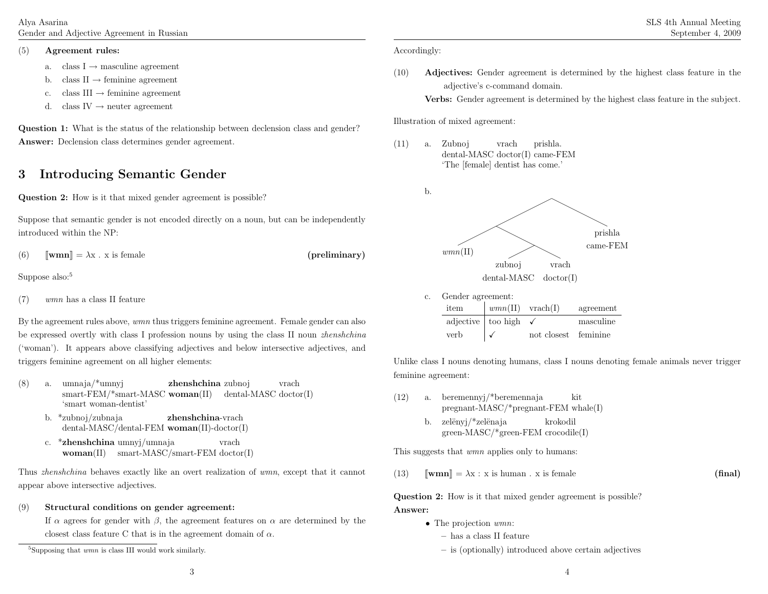Alya AsarinaGender and Adjective Agreement in Russian

#### (5)Agreement rules:

- a. class  $I \rightarrow$  masculine agreement
- b. class  $II \rightarrow$  feminine agreement
- c. class III  $\rightarrow$  feminine agreement
- d. class IV  $\rightarrow$  neuter agreement

Question 1: What is the status of the relationship between declension class and gender?Answer: Declension class determines gender agreement.

## <sup>3</sup> Introducing Semantic Gender

Question 2: How is it that mixed gender agreement is possible?

Suppose that semantic gender is not encoded directly on <sup>a</sup> noun, but can be independentlyintroduced within the NP:

(6) $\mathbb{I}[\mathbf{wmn}] = \lambda \mathbf{x} \cdot \mathbf{x}$  is female (preliminary)

Suppose also:<sup>5</sup>

(7))  $wmn$  has a class II feature

By the agreement rules above, wmn thus triggers feminine agreement. Female gender can also be expressed overtly with class I profession nouns by using the class II noun *zhenshchina* ('woman'). It appears above classifying adjectives and below intersective adjectives, andtriggers feminine agreement on all higher elements:

- (8) a. umnaja/\*umnyj smart-FEM/\*smart-MASC woman(II) dental-MASC doctor(I) **zhenshchina** zubnoj vrach'smart woman-dentist'
	- b. \*zubnoj/zubnaja dental-MASC/dental-FEM woman(II)-doctor(I)zhenshchina-vrach
	- c. \***zhenshchina** umnyj/umnaja woman(II) smart-MASC/smart-FEM doctor(I)vrach

Thus zhenshchina behaves exactly like an overt realization of wmn, except that it cannot appear above intersective adjectives.

#### (9)Structural conditions on gender agreement:

If  $\alpha$  agrees for gender with  $\beta$ , the agreement features on  $\alpha$  are determined by the closest class feature C that is in the agreement domain of  $\alpha$ .

(10) Adjectives: Gender agreement is determined by the highest class feature in the adjective's c-command domain.

Verbs: Gender agreement is determined by the highest class feature in the subject.

Illustration of mixed agreement:

(11) a. Zubnoj dental-MASC doctor(I) came-FEM 'The [female] dentist has come.' vrachprishla.



c. Gender agreement: item $\frac{wmn(\text{II}) \quad \text{vrach}(\text{I})}{\text{too high} \quad \checkmark}$  masculine adjectivee | too high  $\checkmark$  masculine verb $\checkmark$ not closest

Unlike class <sup>I</sup> nouns denoting humans, class <sup>I</sup> nouns denoting female animals never trigger feminine agreement:

- (12) a. beremennyj/\*beremennaja pregnant-MASC/\*pregnant-FEM whale(I) krokodilkitb. zelëny $i$ /\*zelënaja
	- green-MASC/\*green-FEM crocodile(I)

This suggests that *wmn* applies only to humans:

(13) $\mathbb{I}[\mathbf{wnn}] = \lambda \mathbf{x} : \mathbf{x} \text{ is human . } \mathbf{x} \text{ is female}$  (final)

Question 2: How is it that mixed gender agreement is possible?Answer:

- The projection  $wmn$ :
	- has <sup>a</sup> class II feature
	- is (optionally) introduced above certain adjectives

 $5$ Supposing that  $wmn$  is class III would work similarly.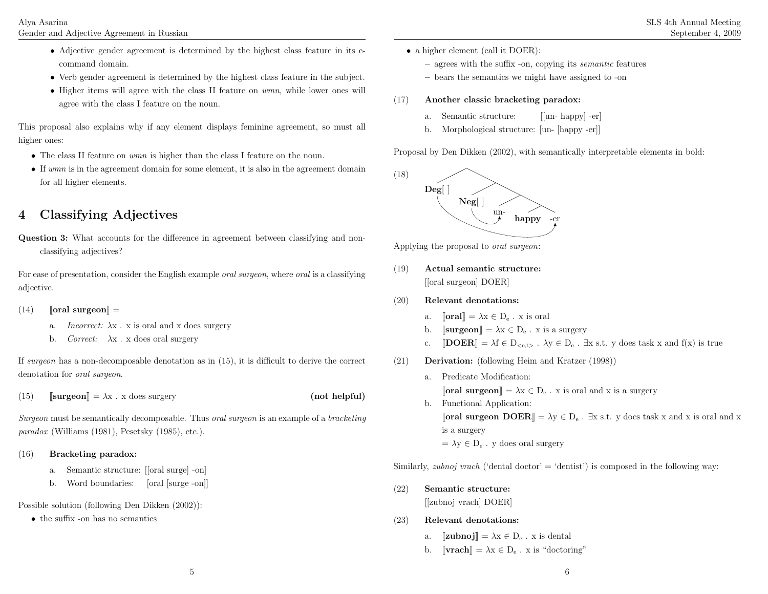- Adjective gender agreement is determined by the highest class feature in its ccommand domain.
- Verb gender agreement is determined by the highest class feature in the subject.
- Higher items will agree with the class II feature on wmn, while lower ones will agree with the class <sup>I</sup> feature on the noun.

This proposa<sup>l</sup> also explains why if any element displays feminine agreement, so must all higher ones:

- The class II feature on *wmn* is higher than the class I feature on the noun.
- If wmn is in the agreement domain for some element, it is also in the agreement domain for all higher elements.

# <sup>4</sup> Classifying Adjectives

Question 3: What accounts for the difference in agreement between classifying and nonclassifying adjectives?

For ease of presentation, consider the English example *oral surgeon*, where *oral* is a classifying adjective.

- (14) $\int$   $\lbrack \;$  oral surgeon $\rbrack$  =
	- a. *Incorrect:*  $\lambda$ x . x is oral and x does surgery
	- b. *Correct:*  $\lambda$ x . x does oral surgery

If surgeon has <sup>a</sup> non-decomposable denotation as in (15), it is difficult to derive the correct denotation for *oral surgeon*.

(15) $\text{Surgery}$   $\text{[surgery]}$  (not helpful)

Surgeon must be semantically decomposable. Thus oral surgeon is an example of <sup>a</sup> bracketing paradox (Williams (1981), Pesetsky (1985), etc.).

### (16)Bracketing paradox:

- a. Semantic structure: [[oral surge] -on]
- b. Word boundaries: [oral [surge -on]]

Possible solution (following Den Dikken (2002)):

• the suffix -on has no semantics

- <sup>a</sup> higher element (call it DOER):
	- agrees with the suffix -on, copying its semantic features
	- bears the semantics we might have assigned to -on

### (17)Another classic bracketing paradox:

- a. Semantic structure: [[un- happy] -er]
- b. Morphological structure: [un- [happy -er]]

Proposal by Den Dikken (2002), with semantically interpretable elements in bold:



Applying the proposal to *oral surgeon*:

- (19) Actual semantic structure: [[oral surgeon] DOER]
- (20) Relevant denotations:
	- a. $\text{J} \quad \text{[oral]} = \lambda x \in D_e$ . x is oral
	- b. $\text{S−}$   $\text{[surgeon]} = \lambda x \in D_e$ . x is a surgery
	- c.  $[DOER] = \lambda f \in D_{< e,t>}$ .  $\lambda y \in D_e$ .  $\exists x \text{ s.t. } y \text{ does task } x \text{ and } f(x) \text{ is true}$
- (21) Derivation: (following Heim and Kratzer (1998))
	- a. Predicate Modification:  $\llbracket \textbf{oral surgeon} \rrbracket = \lambda x \in D_e$ . x is oral and x is a surgery b. Functional Application:
		- [**oral surgeon DOER**] =  $\lambda y \in D_e$ . ∃x s.t. y does task x and x is oral and x is <sup>a</sup> surgery $= \lambda y \in D_e$ . y does oral surgery

Similarly, *zubnoj vrach* ('dental doctor' = 'dentist') is composed in the following way:

- (22) Semantic structure: [[zubnoj vrach] DOER]
- (23) Relevant denotations:
	- a. $\text{L}$   $\left[\text{zubnoj}\right] = \lambda x \in D_e$ . x is dental
	- b.  $[\![\mathbf{vrach}]\!] = \lambda \mathbf{x} \in \mathbf{D}_{\mathbf{e}}$ . x is "doctoring"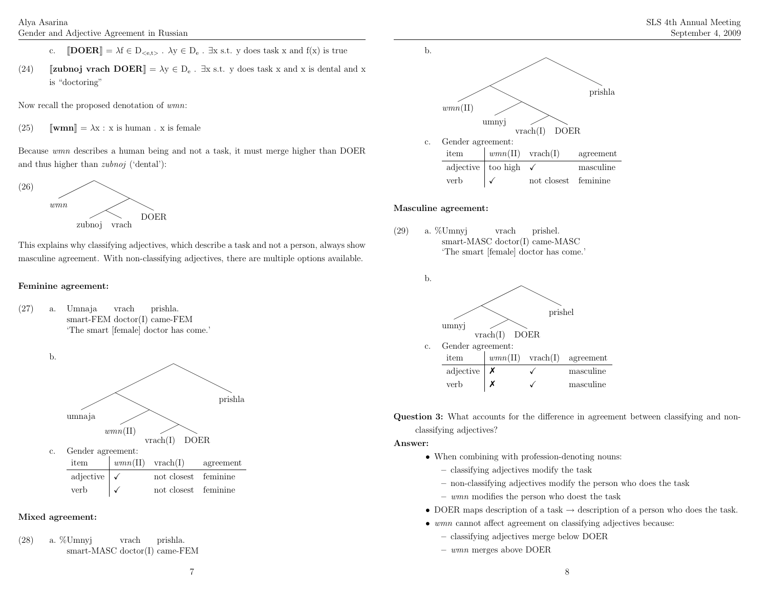- c.  $[DOER] = \lambda f \in D_{< e,t>}$ .  $\lambda y \in D_e$ .  $\exists x \text{ s.t. } y \text{ does task } x \text{ and } f(x) \text{ is true}$
- (24)**J**  $[\![\text{zubnoj}\; \text{vrach}\; \text{DOER}]\!] = \lambda y \in D_e$ .  $\exists x \text{ s.t. } y \text{ does task } x \text{ and } x \text{ is dental and } x$ is "doctoring"

Now recall the proposed denotation of wmn:

(25) $\text{Jwmm} = \lambda x : x \text{ is human . } x \text{ is female}$ 

Because wmn describes <sup>a</sup> human being and not <sup>a</sup> task, it must merge higher than DOERand thus higher than *zubnoj* ('dental'):



This explains why classifying adjectives, which describe <sup>a</sup> task and not <sup>a</sup> person, always showmasculine agreement. With non-classifying adjectives, there are multiple options available.

## Feminine agreement:

(27) a. Umnaja smart-FEM doctor(I) came-FEM 'The smart [female] doctor has come.' vrachprishla.



## Mixed agreement:

(28) a. %Umnyj smart-MASC doctor(I) came-FEMvrachprishla.



## Masculine agreement:

(29) a. %Umnyj smart-MASC doctor(I) came-MASC 'The smart [female] doctor has come.' vrachprishel.



Question 3: What accounts for the difference in agreement between classifying and nonclassifying adjectives?

Answer:

- When combining with profession-denoting nouns:
	- classifying adjectives modify the task
	- non-classifying adjectives modify the person who does the task
	- wmn modifies the person who doest the task
- DOER maps description of a task  $\rightarrow$  description of a person who does the task.
- wmn cannot affect agreement on classifying adjectives because:
	- classifying adjectives merge below DOER
	- wmn merges above DOER